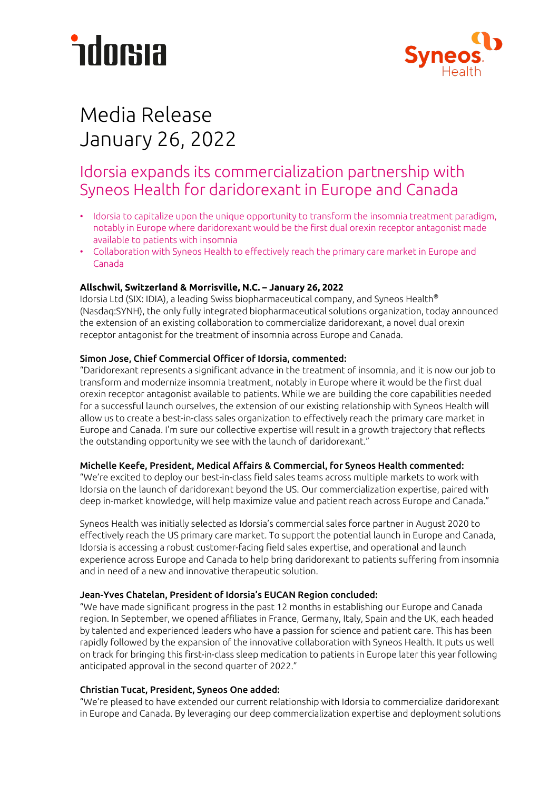# *<u>ndorsia</u>*



## Media Release January 26, 2022

### Idorsia expands its commercialization partnership with Syneos Health for daridorexant in Europe and Canada

- Idorsia to capitalize upon the unique opportunity to transform the insomnia treatment paradigm, notably in Europe where daridorexant would be the first dual orexin receptor antagonist made available to patients with insomnia
- Collaboration with Syneos Health to effectively reach the primary care market in Europe and Canada

### **Allschwil, Switzerland & Morrisville, N.C. – January 26, 2022**

Idorsia Ltd (SIX: IDIA), a leading Swiss biopharmaceutical company, and Syneos Health® (Nasdaq:SYNH), the only fully integrated biopharmaceutical solutions organization, today announced the extension of an existing collaboration to commercialize daridorexant, a novel dual orexin receptor antagonist for the treatment of insomnia across Europe and Canada.

### Simon Jose, Chief Commercial Officer of Idorsia, commented:

"Daridorexant represents a significant advance in the treatment of insomnia, and it is now our job to transform and modernize insomnia treatment, notably in Europe where it would be the first dual orexin receptor antagonist available to patients. While we are building the core capabilities needed for a successful launch ourselves, the extension of our existing relationship with Syneos Health will allow us to create a best-in-class sales organization to effectively reach the primary care market in Europe and Canada. I'm sure our collective expertise will result in a growth trajectory that reflects the outstanding opportunity we see with the launch of daridorexant."

### Michelle Keefe, President, Medical Affairs & Commercial, for Syneos Health commented:

"We're excited to deploy our best-in-class field sales teams across multiple markets to work with Idorsia on the launch of daridorexant beyond the US. Our commercialization expertise, paired with deep in-market knowledge, will help maximize value and patient reach across Europe and Canada."

Syneos Health was initially selected as Idorsia's commercial sales force partner in August 2020 to effectively reach the US primary care market. To support the potential launch in Europe and Canada, Idorsia is accessing a robust customer-facing field sales expertise, and operational and launch experience across Europe and Canada to help bring daridorexant to patients suffering from insomnia and in need of a new and innovative therapeutic solution.

### Jean-Yves Chatelan, President of Idorsia's EUCAN Region concluded:

"We have made significant progress in the past 12 months in establishing our Europe and Canada region. In September, we opened affiliates in France, Germany, Italy, Spain and the UK, each headed by talented and experienced leaders who have a passion for science and patient care. This has been rapidly followed by the expansion of the innovative collaboration with Syneos Health. It puts us well on track for bringing this first-in-class sleep medication to patients in Europe later this year following anticipated approval in the second quarter of 2022."

### Christian Tucat, President, Syneos One added:

"We're pleased to have extended our current relationship with Idorsia to commercialize daridorexant in Europe and Canada. By leveraging our deep commercialization expertise and deployment solutions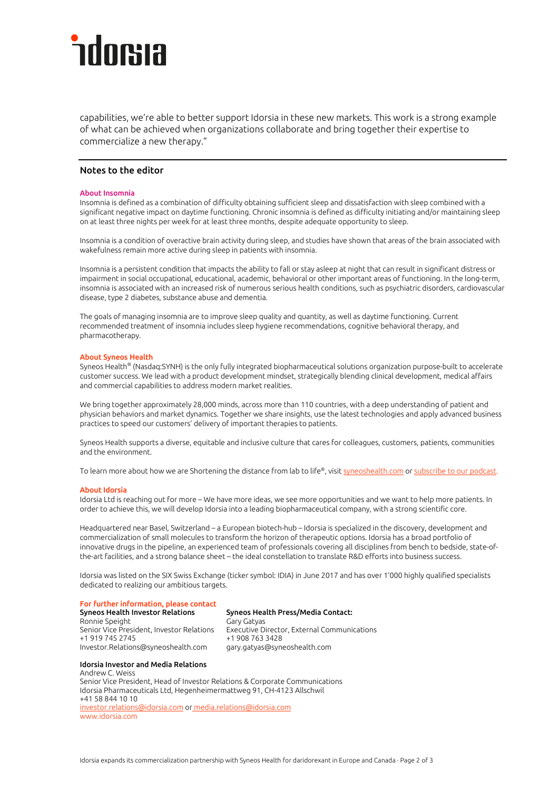# dorsia

capabilities, we're able to better support Idorsia in these new markets. This work is a strong example of what can be achieved when organizations collaborate and bring together their expertise to commercialize a new therapy."

### Notes to the editor

### About Insomnia

Insomnia is defined as a combination of difficulty obtaining sufficient sleep and dissatisfaction with sleep combined with a significant negative impact on daytime functioning. Chronic insomnia is defined as difficulty initiating and/or maintaining sleep on at least three nights per week for at least three months, despite adequate opportunity to sleep.

Insomnia is a condition of overactive brain activity during sleep, and studies have shown that areas of the brain associated with wakefulness remain more active during sleep in patients with insomnia.

Insomnia is a persistent condition that impacts the ability to fall or stay asleep at night that can result in significant distress or impairment in social occupational, educational, academic, behavioral or other important areas of functioning. In the long-term, insomnia is associated with an increased risk of numerous serious health conditions, such as psychiatric disorders, cardiovascular disease, type 2 diabetes, substance abuse and dementia.

The goals of managing insomnia are to improve sleep quality and quantity, as well as daytime functioning. Current recommended treatment of insomnia includes sleep hygiene recommendations, cognitive behavioral therapy, and pharmacotherapy.

#### About Syneos Health

Syneos Health® (Nasdaq:SYNH) is the only fully integrated biopharmaceutical solutions organization purpose-built to accelerate customer success. We lead with a product development mindset, strategically blending clinical development, medical affairs and commercial capabilities to address modern market realities.

We bring together approximately 28,000 minds, across more than 110 countries, with a deep understanding of patient and physician behaviors and market dynamics. Together we share insights, use the latest technologies and apply advanced business practices to speed our customers' delivery of important therapies to patients.

Syneos Health supports a diverse, equitable and inclusive culture that cares for colleagues, customers, patients, communities and the environment.

To learn more about how we are Shortening the distance from lab to life®, visi[t syneoshealth.com](http://www.syneoshealth.com/) o[r subscribe to our podcast.](https://www.buzzsprout.com/85116#%20%3Chttp://www.buzzsprout.com/85116)

#### About Idorsia

Idorsia Ltd is reaching out for more – We have more ideas, we see more opportunities and we want to help more patients. In order to achieve this, we will develop Idorsia into a leading biopharmaceutical company, with a strong scientific core.

Headquartered near Basel, Switzerland – a European biotech-hub – Idorsia is specialized in the discovery, development and commercialization of small molecules to transform the horizon of therapeutic options. Idorsia has a broad portfolio of innovative drugs in the pipeline, an experienced team of professionals covering all disciplines from bench to bedside, state-ofthe-art facilities, and a strong balance sheet – the ideal constellation to translate R&D efforts into business success.

Idorsia was listed on the SIX Swiss Exchange (ticker symbol: IDIA) in June 2017 and has over 1'000 highly qualified specialists dedicated to realizing our ambitious targets.

### For further information, please contact

Ronnie Speight Gary Gary Gatyas +1 919 745 2745 Investor.Relations@syneoshealth.com gary.gatyas@syneoshealth.com

Syneos Health Press/Media Contact: Senior Vice President, Investor Relations Executive Director, External Communications

### Idorsia Investor and Media Relations

Andrew C. Weiss Senior Vice President, Head of Investor Relations & Corporate Communications Idorsia Pharmaceuticals Ltd, Hegenheimermattweg 91, CH-4123 Allschwil +41 58 844 10 10 [investor.relations@idorsia.com](mailto:investor.relations@idorsia.com) or [media.relations@idorsia.com](mailto:media.relations@idorsia.com) [www.idorsia.com](http://www.idorsia.com/)